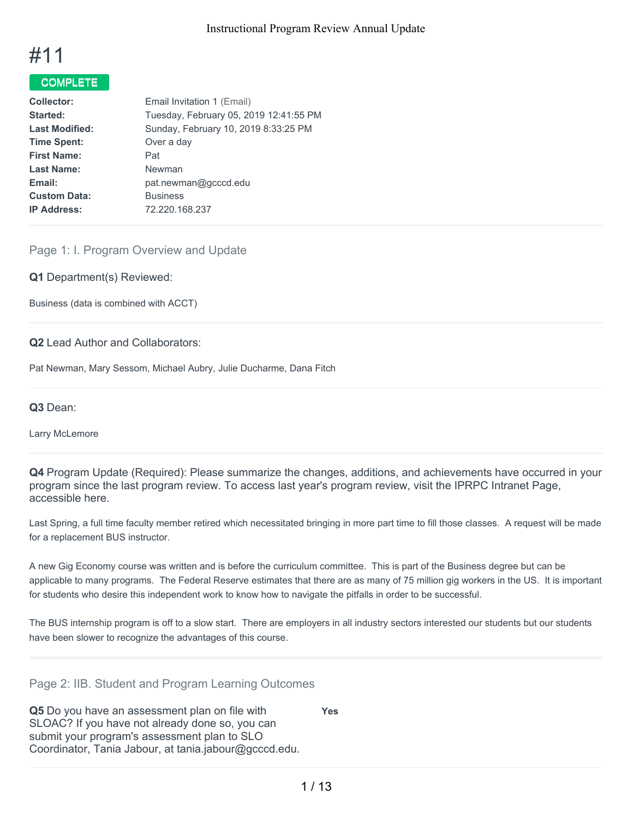

# COMPLETE

| Tuesday, February 05, 2019 12:41:55 PM |
|----------------------------------------|
|                                        |
|                                        |
|                                        |
|                                        |
|                                        |
|                                        |
|                                        |
|                                        |

# Page 1: I. Program Overview and Update

**Q1** Department(s) Reviewed:

Business (data is combined with ACCT)

#### **Q2** Lead Author and Collaborators:

Pat Newman, Mary Sessom, Michael Aubry, Julie Ducharme, Dana Fitch

#### **Q3** Dean:

Larry McLemore

**Q4** Program Update (Required): Please summarize the changes, additions, and achievements have occurred in your program since the last program review. To access last year's program review, visit the IPRPC Intranet Page, accessible here.

Last Spring, a full time faculty member retired which necessitated bringing in more part time to fill those classes. A request will be made for a replacement BUS instructor.

A new Gig Economy course was written and is before the curriculum committee. This is part of the Business degree but can be applicable to many programs. The Federal Reserve estimates that there are as many of 75 million gig workers in the US. It is important for students who desire this independent work to know how to navigate the pitfalls in order to be successful.

The BUS internship program is off to a slow start. There are employers in all industry sectors interested our students but our students have been slower to recognize the advantages of this course.

#### Page 2: IIB. Student and Program Learning Outcomes

**Q5** Do you have an assessment plan on file with SLOAC? If you have not already done so, you can submit your program's assessment plan to SLO Coordinator, Tania Jabour, at tania.jabour@gcccd.edu. **Yes**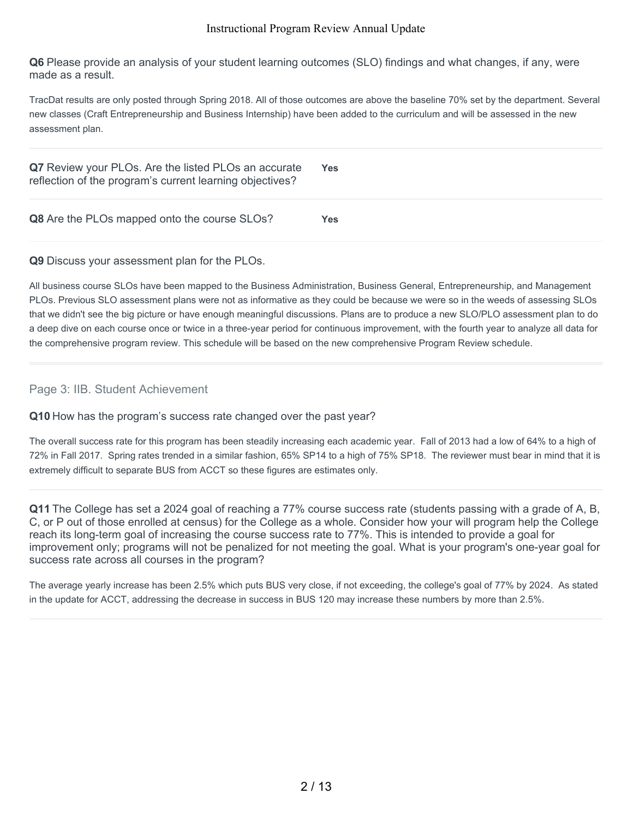**Q6** Please provide an analysis of your student learning outcomes (SLO) findings and what changes, if any, were made as a result.

TracDat results are only posted through Spring 2018. All of those outcomes are above the baseline 70% set by the department. Several new classes (Craft Entrepreneurship and Business Internship) have been added to the curriculum and will be assessed in the new assessment plan.

| Q7 Review your PLOs. Are the listed PLOs an accurate<br>reflection of the program's current learning objectives? | Yes: |
|------------------------------------------------------------------------------------------------------------------|------|
| Q8 Are the PLOs mapped onto the course SLOs?                                                                     | Yes  |

#### **Q9** Discuss your assessment plan for the PLOs.

All business course SLOs have been mapped to the Business Administration, Business General, Entrepreneurship, and Management PLOs. Previous SLO assessment plans were not as informative as they could be because we were so in the weeds of assessing SLOs that we didn't see the big picture or have enough meaningful discussions. Plans are to produce a new SLO/PLO assessment plan to do a deep dive on each course once or twice in a three-year period for continuous improvement, with the fourth year to analyze all data for the comprehensive program review. This schedule will be based on the new comprehensive Program Review schedule.

## Page 3: IIB. Student Achievement

#### **Q10** How has the program's success rate changed over the past year?

The overall success rate for this program has been steadily increasing each academic year. Fall of 2013 had a low of 64% to a high of 72% in Fall 2017. Spring rates trended in a similar fashion, 65% SP14 to a high of 75% SP18. The reviewer must bear in mind that it is extremely difficult to separate BUS from ACCT so these figures are estimates only.

**Q11** The College has set a 2024 goal of reaching a 77% course success rate (students passing with a grade of A, B, C, or P out of those enrolled at census) for the College as a whole. Consider how your will program help the College reach its long-term goal of increasing the course success rate to 77%. This is intended to provide a goal for improvement only; programs will not be penalized for not meeting the goal. What is your program's one-year goal for success rate across all courses in the program?

The average yearly increase has been 2.5% which puts BUS very close, if not exceeding, the college's goal of 77% by 2024. As stated in the update for ACCT, addressing the decrease in success in BUS 120 may increase these numbers by more than 2.5%.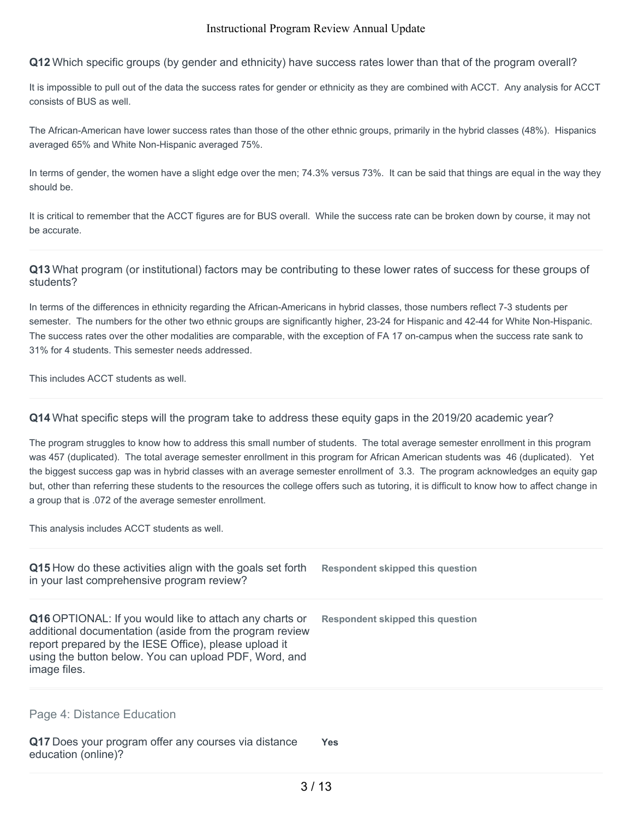**Q12** Which specific groups (by gender and ethnicity) have success rates lower than that of the program overall?

It is impossible to pull out of the data the success rates for gender or ethnicity as they are combined with ACCT. Any analysis for ACCT consists of BUS as well.

The African-American have lower success rates than those of the other ethnic groups, primarily in the hybrid classes (48%). Hispanics averaged 65% and White Non-Hispanic averaged 75%.

In terms of gender, the women have a slight edge over the men; 74.3% versus 73%. It can be said that things are equal in the way they should be.

It is critical to remember that the ACCT figures are for BUS overall. While the success rate can be broken down by course, it may not be accurate.

#### **Q13** What program (or institutional) factors may be contributing to these lower rates of success for these groups of students?

In terms of the differences in ethnicity regarding the African-Americans in hybrid classes, those numbers reflect 7-3 students per semester. The numbers for the other two ethnic groups are significantly higher, 23-24 for Hispanic and 42-44 for White Non-Hispanic. The success rates over the other modalities are comparable, with the exception of FA 17 on-campus when the success rate sank to 31% for 4 students. This semester needs addressed.

This includes ACCT students as well.

#### **Q14** What specific steps will the program take to address these equity gaps in the 2019/20 academic year?

The program struggles to know how to address this small number of students. The total average semester enrollment in this program was 457 (duplicated). The total average semester enrollment in this program for African American students was 46 (duplicated). Yet the biggest success gap was in hybrid classes with an average semester enrollment of 3.3. The program acknowledges an equity gap but, other than referring these students to the resources the college offers such as tutoring, it is difficult to know how to affect change in a group that is .072 of the average semester enrollment.

This analysis includes ACCT students as well.

| Q15 How do these activities align with the goals set forth<br>in your last comprehensive program review?                                                                                                                                                    | Respondent skipped this question |
|-------------------------------------------------------------------------------------------------------------------------------------------------------------------------------------------------------------------------------------------------------------|----------------------------------|
| <b>Q16</b> OPTIONAL: If you would like to attach any charts or<br>additional documentation (aside from the program review<br>report prepared by the IESE Office), please upload it<br>using the button below. You can upload PDF, Word, and<br>image files. | Respondent skipped this question |
| Page 4: Distance Education<br>Q17 Does your program offer any courses via distance<br>education (online)?                                                                                                                                                   | <b>Yes</b>                       |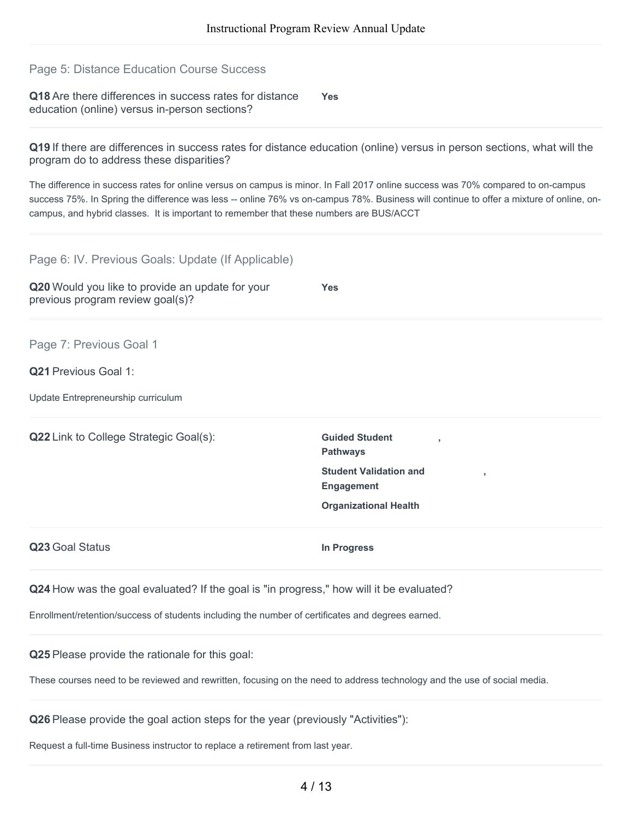## Page 5: Distance Education Course Success

**Q18** Are there differences in success rates for distance education (online) versus in-person sections? **Yes**

**Q19** If there are differences in success rates for distance education (online) versus in person sections, what will the program do to address these disparities?

The difference in success rates for online versus on campus is minor. In Fall 2017 online success was 70% compared to on-campus success 75%. In Spring the difference was less -- online 76% vs on-campus 78%. Business will continue to offer a mixture of online, oncampus, and hybrid classes. It is important to remember that these numbers are BUS/ACCT

| Page 6: IV. Previous Goals: Update (If Applicable)                                                                       |                                                          |  |
|--------------------------------------------------------------------------------------------------------------------------|----------------------------------------------------------|--|
| Q20 Would you like to provide an update for your<br>previous program review goal(s)?                                     | Yes                                                      |  |
| Page 7: Previous Goal 1                                                                                                  |                                                          |  |
| Q21 Previous Goal 1:                                                                                                     |                                                          |  |
| Update Entrepreneurship curriculum                                                                                       |                                                          |  |
| Q22 Link to College Strategic Goal(s):                                                                                   | <b>Guided Student</b><br><b>Pathways</b>                 |  |
|                                                                                                                          | <b>Student Validation and</b><br>ž.<br><b>Engagement</b> |  |
|                                                                                                                          | <b>Organizational Health</b>                             |  |
| Q23 Goal Status                                                                                                          | In Progress                                              |  |
| Q24 How was the goal evaluated? If the goal is "in progress," how will it be evaluated?                                  |                                                          |  |
| Enrollment/retention/success of students including the number of certificates and degrees earned.                        |                                                          |  |
| Q25 Please provide the rationale for this goal:                                                                          |                                                          |  |
| These courses need to be reviewed and rewritten, focusing on the need to address technology and the use of social media. |                                                          |  |
| Q26 Please provide the goal action steps for the year (previously "Activities"):                                         |                                                          |  |

Request a full-time Business instructor to replace a retirement from last year.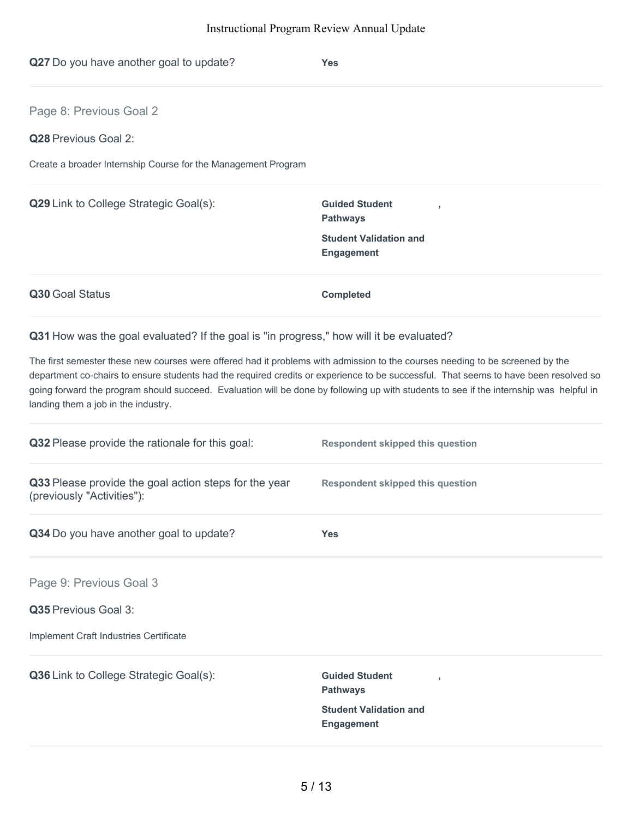| Q27 Do you have another goal to update?                                                                                                                              | Yes                                                                                                                                                                                                                                                                             |
|----------------------------------------------------------------------------------------------------------------------------------------------------------------------|---------------------------------------------------------------------------------------------------------------------------------------------------------------------------------------------------------------------------------------------------------------------------------|
| Page 8: Previous Goal 2                                                                                                                                              |                                                                                                                                                                                                                                                                                 |
| Q28 Previous Goal 2:                                                                                                                                                 |                                                                                                                                                                                                                                                                                 |
| Create a broader Internship Course for the Management Program                                                                                                        |                                                                                                                                                                                                                                                                                 |
| Q29 Link to College Strategic Goal(s):                                                                                                                               | <b>Guided Student</b><br><b>Pathways</b>                                                                                                                                                                                                                                        |
|                                                                                                                                                                      | <b>Student Validation and</b><br><b>Engagement</b>                                                                                                                                                                                                                              |
| Q30 Goal Status                                                                                                                                                      | <b>Completed</b>                                                                                                                                                                                                                                                                |
| Q31 How was the goal evaluated? If the goal is "in progress," how will it be evaluated?                                                                              |                                                                                                                                                                                                                                                                                 |
| The first semester these new courses were offered had it problems with admission to the courses needing to be screened by the<br>landing them a job in the industry. | department co-chairs to ensure students had the required credits or experience to be successful. That seems to have been resolved so<br>going forward the program should succeed. Evaluation will be done by following up with students to see if the internship was helpful in |
| Q32 Please provide the rationale for this goal:                                                                                                                      | <b>Respondent skipped this question</b>                                                                                                                                                                                                                                         |
| Q33 Please provide the goal action steps for the year<br>(previously "Activities"):                                                                                  | <b>Respondent skipped this question</b>                                                                                                                                                                                                                                         |
| Q34 Do you have another goal to update?                                                                                                                              | <b>Yes</b>                                                                                                                                                                                                                                                                      |
| Page 9: Previous Goal 3                                                                                                                                              |                                                                                                                                                                                                                                                                                 |
| Q35 Previous Goal 3:                                                                                                                                                 |                                                                                                                                                                                                                                                                                 |
| Implement Craft Industries Certificate                                                                                                                               |                                                                                                                                                                                                                                                                                 |
| Q36 Link to College Strategic Goal(s):                                                                                                                               | <b>Guided Student</b><br><b>Pathways</b><br><b>Student Validation and</b>                                                                                                                                                                                                       |

**Engagement**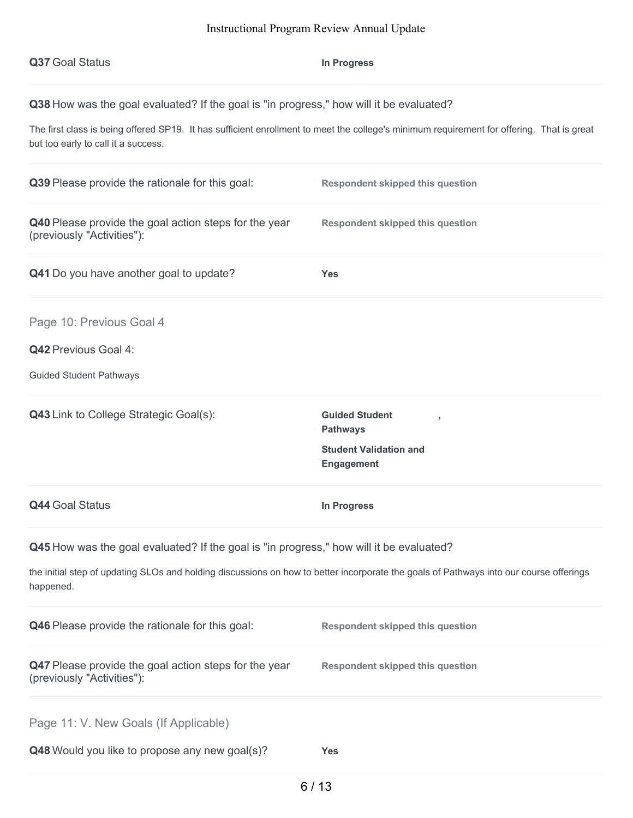| Q37 Goal Status                                                                                                                                                                                                                                                             | <b>In Progress</b>                                                                             |  |
|-----------------------------------------------------------------------------------------------------------------------------------------------------------------------------------------------------------------------------------------------------------------------------|------------------------------------------------------------------------------------------------|--|
| Q38 How was the goal evaluated? If the goal is "in progress," how will it be evaluated?<br>The first class is being offered SP19. It has sufficient enrollment to meet the college's minimum requirement for offering. That is great<br>but too early to call it a success. |                                                                                                |  |
| Q39 Please provide the rationale for this goal:                                                                                                                                                                                                                             | <b>Respondent skipped this question</b>                                                        |  |
| Q40 Please provide the goal action steps for the year<br>(previously "Activities"):                                                                                                                                                                                         | <b>Respondent skipped this question</b>                                                        |  |
| Q41 Do you have another goal to update?                                                                                                                                                                                                                                     | <b>Yes</b>                                                                                     |  |
| Page 10: Previous Goal 4<br>Q42 Previous Goal 4:<br><b>Guided Student Pathways</b>                                                                                                                                                                                          |                                                                                                |  |
| Q43 Link to College Strategic Goal(s):                                                                                                                                                                                                                                      | <b>Guided Student</b><br><b>Pathways</b><br><b>Student Validation and</b><br><b>Engagement</b> |  |
| Q44 Goal Status                                                                                                                                                                                                                                                             | In Progress                                                                                    |  |
| Q45 How was the goal evaluated? If the goal is "in progress," how will it be evaluated?<br>the initial step of updating SLOs and holding discussions on how to better incorporate the goals of Pathways into our course offerings<br>happened.                              |                                                                                                |  |
| Q46 Please provide the rationale for this goal:                                                                                                                                                                                                                             | <b>Respondent skipped this question</b>                                                        |  |
| Q47 Please provide the goal action steps for the year<br>(previously "Activities"):                                                                                                                                                                                         | <b>Respondent skipped this question</b>                                                        |  |
| Page 11: V. New Goals (If Applicable)<br>Q48 Would you like to propose any new goal(s)?                                                                                                                                                                                     | <b>Yes</b>                                                                                     |  |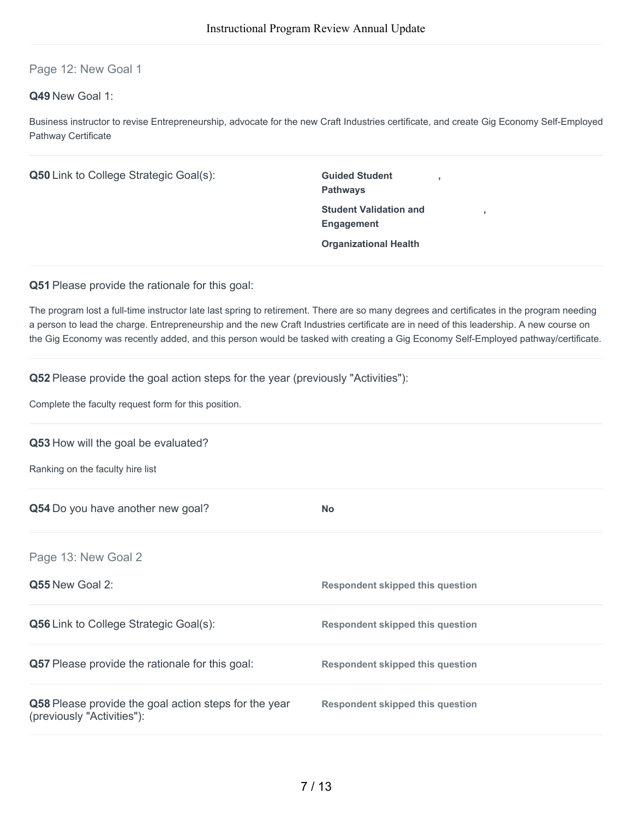# Page 12: New Goal 1

## **Q49** New Goal 1:

Business instructor to revise Entrepreneurship, advocate for the new Craft Industries certificate, and create Gig Economy Self-Employed Pathway Certificate

| Q50 Link to College Strategic Goal(s):                                                  | <b>Guided Student</b><br><b>Pathways</b>                                                                                                                                                                                                                                                                                                                                                                                  |
|-----------------------------------------------------------------------------------------|---------------------------------------------------------------------------------------------------------------------------------------------------------------------------------------------------------------------------------------------------------------------------------------------------------------------------------------------------------------------------------------------------------------------------|
|                                                                                         | <b>Student Validation and</b><br>Engagement                                                                                                                                                                                                                                                                                                                                                                               |
|                                                                                         | <b>Organizational Health</b>                                                                                                                                                                                                                                                                                                                                                                                              |
| Q51 Please provide the rationale for this goal:                                         |                                                                                                                                                                                                                                                                                                                                                                                                                           |
|                                                                                         | The program lost a full-time instructor late last spring to retirement. There are so many degrees and certificates in the program needing<br>a person to lead the charge. Entrepreneurship and the new Craft Industries certificate are in need of this leadership. A new course on<br>the Gig Economy was recently added, and this person would be tasked with creating a Gig Economy Self-Employed pathway/certificate. |
| <b>Q52</b> Please provide the goal action steps for the year (previously "Activities"): |                                                                                                                                                                                                                                                                                                                                                                                                                           |
| Complete the faculty request form for this position.                                    |                                                                                                                                                                                                                                                                                                                                                                                                                           |
| Q53 How will the goal be evaluated?                                                     |                                                                                                                                                                                                                                                                                                                                                                                                                           |
| Ranking on the faculty hire list                                                        |                                                                                                                                                                                                                                                                                                                                                                                                                           |
| Q54 Do you have another new goal?                                                       | <b>No</b>                                                                                                                                                                                                                                                                                                                                                                                                                 |
| Page 13: New Goal 2                                                                     |                                                                                                                                                                                                                                                                                                                                                                                                                           |
| Q55 New Goal 2:                                                                         | <b>Respondent skipped this question</b>                                                                                                                                                                                                                                                                                                                                                                                   |

| <b>Q56</b> Link to College Strategic Goal(s):                                       | Respondent skipped this question |
|-------------------------------------------------------------------------------------|----------------------------------|
| <b>Q57</b> Please provide the rationale for this goal:                              | Respondent skipped this question |
| Q58 Please provide the goal action steps for the year<br>(previously "Activities"): | Respondent skipped this question |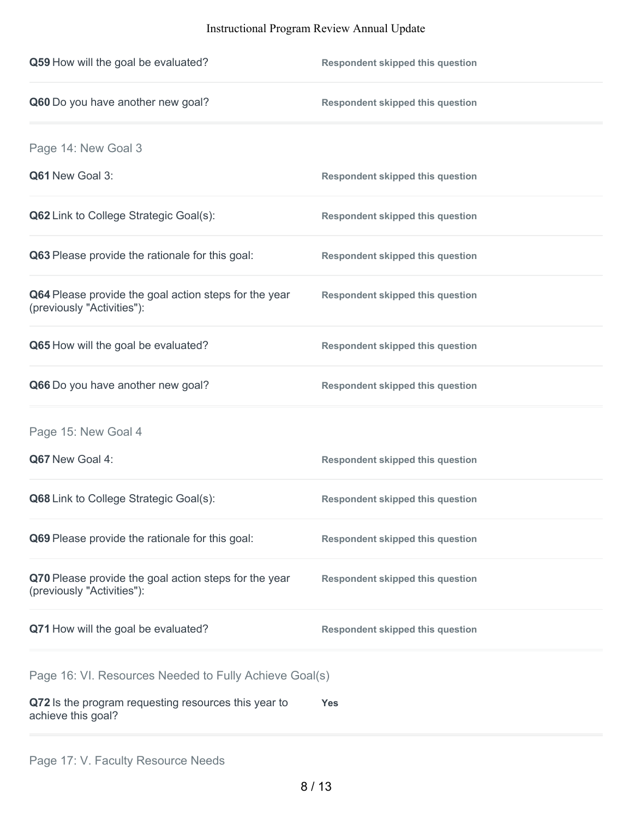| Q59 How will the goal be evaluated?                                                 | <b>Respondent skipped this question</b> |
|-------------------------------------------------------------------------------------|-----------------------------------------|
| Q60 Do you have another new goal?                                                   | <b>Respondent skipped this question</b> |
| Page 14: New Goal 3                                                                 |                                         |
| Q61 New Goal 3:                                                                     | <b>Respondent skipped this question</b> |
| Q62 Link to College Strategic Goal(s):                                              | <b>Respondent skipped this question</b> |
| Q63 Please provide the rationale for this goal:                                     | <b>Respondent skipped this question</b> |
| Q64 Please provide the goal action steps for the year<br>(previously "Activities"): | <b>Respondent skipped this question</b> |
| Q65 How will the goal be evaluated?                                                 | <b>Respondent skipped this question</b> |
| Q66 Do you have another new goal?                                                   | <b>Respondent skipped this question</b> |
| Page 15: New Goal 4                                                                 |                                         |
| Q67 New Goal 4:                                                                     | <b>Respondent skipped this question</b> |
| Q68 Link to College Strategic Goal(s):                                              | <b>Respondent skipped this question</b> |
| Q69 Please provide the rationale for this goal:                                     | <b>Respondent skipped this question</b> |
| Q70 Please provide the goal action steps for the year<br>(previously "Activities"): | <b>Respondent skipped this question</b> |
| Q71 How will the goal be evaluated?                                                 | <b>Respondent skipped this question</b> |
| Page 16: VI. Resources Needed to Fully Achieve Goal(s)                              |                                         |
| Q72 Is the program requesting resources this year to<br>achieve this goal?          | Yes                                     |
|                                                                                     |                                         |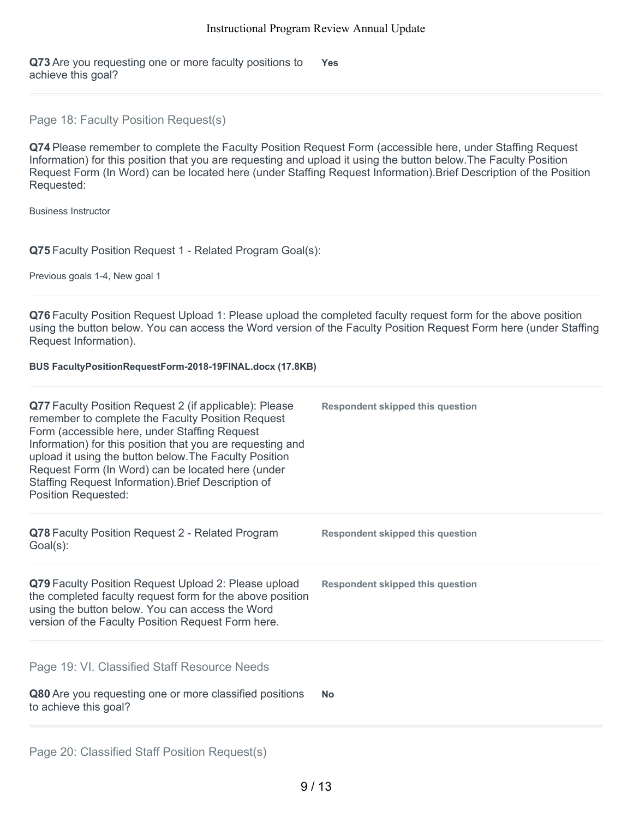**Q73** Are you requesting one or more faculty positions to achieve this goal? **Yes**

Page 18: Faculty Position Request(s)

**Q74** Please remember to complete the Faculty Position Request Form (accessible here, under Staffing Request Information) for this position that you are requesting and upload it using the button below.The Faculty Position Request Form (In Word) can be located here (under Staffing Request Information).Brief Description of the Position Requested:

Business Instructor

**Q75** Faculty Position Request 1 - Related Program Goal(s):

Previous goals 1-4, New goal 1

**Q76** Faculty Position Request Upload 1: Please upload the completed faculty request form for the above position using the button below. You can access the Word version of the Faculty Position Request Form here (under Staffing Request Information).

**BUS FacultyPositionRequestForm-2018-19FINAL.docx (17.8KB)**

| Q77 Faculty Position Request 2 (if applicable): Please<br>remember to complete the Faculty Position Request<br>Form (accessible here, under Staffing Request<br>Information) for this position that you are requesting and<br>upload it using the button below. The Faculty Position<br>Request Form (In Word) can be located here (under<br>Staffing Request Information). Brief Description of<br><b>Position Requested:</b> | <b>Respondent skipped this question</b> |
|--------------------------------------------------------------------------------------------------------------------------------------------------------------------------------------------------------------------------------------------------------------------------------------------------------------------------------------------------------------------------------------------------------------------------------|-----------------------------------------|
| Q78 Faculty Position Request 2 - Related Program<br>Goal(s):                                                                                                                                                                                                                                                                                                                                                                   | Respondent skipped this question        |
| Q79 Faculty Position Request Upload 2: Please upload<br>the completed faculty request form for the above position<br>using the button below. You can access the Word<br>version of the Faculty Position Request Form here.                                                                                                                                                                                                     | Respondent skipped this question        |
| Page 19: VI. Classified Staff Resource Needs<br>Q80 Are you requesting one or more classified positions<br>to achieve this goal?                                                                                                                                                                                                                                                                                               | <b>No</b>                               |
|                                                                                                                                                                                                                                                                                                                                                                                                                                |                                         |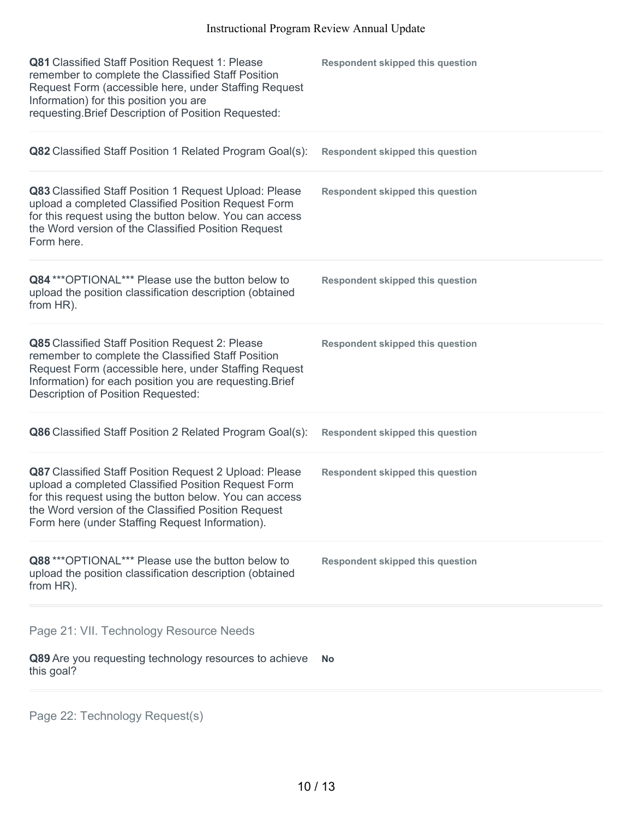| Q81 Classified Staff Position Request 1: Please<br>remember to complete the Classified Staff Position<br>Request Form (accessible here, under Staffing Request<br>Information) for this position you are<br>requesting. Brief Description of Position Requested:                   | <b>Respondent skipped this question</b> |
|------------------------------------------------------------------------------------------------------------------------------------------------------------------------------------------------------------------------------------------------------------------------------------|-----------------------------------------|
| Q82 Classified Staff Position 1 Related Program Goal(s):                                                                                                                                                                                                                           | <b>Respondent skipped this question</b> |
| Q83 Classified Staff Position 1 Request Upload: Please<br>upload a completed Classified Position Request Form<br>for this request using the button below. You can access<br>the Word version of the Classified Position Request<br>Form here.                                      | <b>Respondent skipped this question</b> |
| Q84 *** OPTIONAL*** Please use the button below to<br>upload the position classification description (obtained<br>from HR).                                                                                                                                                        | <b>Respondent skipped this question</b> |
| Q85 Classified Staff Position Request 2: Please<br>remember to complete the Classified Staff Position<br>Request Form (accessible here, under Staffing Request<br>Information) for each position you are requesting. Brief<br>Description of Position Requested:                   | <b>Respondent skipped this question</b> |
| Q86 Classified Staff Position 2 Related Program Goal(s):                                                                                                                                                                                                                           | <b>Respondent skipped this question</b> |
| Q87 Classified Staff Position Request 2 Upload: Please<br>upload a completed Classified Position Request Form<br>for this request using the button below. You can access<br>the Word version of the Classified Position Request<br>Form here (under Staffing Request Information). | <b>Respondent skipped this question</b> |
| Q88 *** OPTIONAL*** Please use the button below to<br>upload the position classification description (obtained<br>from HR).                                                                                                                                                        | <b>Respondent skipped this question</b> |
| Page 21: VII. Technology Resource Needs                                                                                                                                                                                                                                            |                                         |
| Q89 Are you requesting technology resources to achieve<br>this goal?                                                                                                                                                                                                               | No                                      |
|                                                                                                                                                                                                                                                                                    |                                         |

Page 22: Technology Request(s)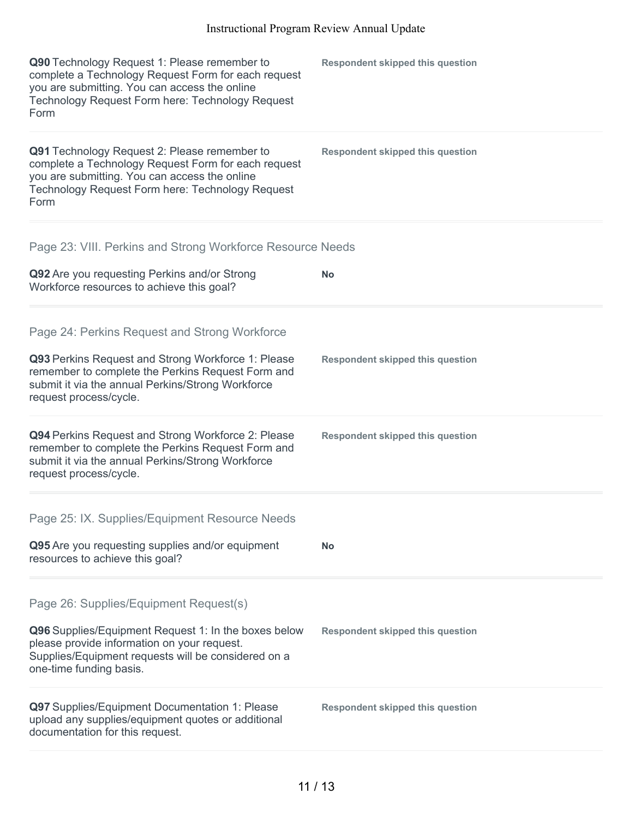| Q90 Technology Request 1: Please remember to<br>complete a Technology Request Form for each request<br>you are submitting. You can access the online<br>Technology Request Form here: Technology Request<br>Form | <b>Respondent skipped this question</b> |
|------------------------------------------------------------------------------------------------------------------------------------------------------------------------------------------------------------------|-----------------------------------------|
| Q91 Technology Request 2: Please remember to<br>complete a Technology Request Form for each request<br>you are submitting. You can access the online<br>Technology Request Form here: Technology Request<br>Form | <b>Respondent skipped this question</b> |
| Page 23: VIII. Perkins and Strong Workforce Resource Needs                                                                                                                                                       |                                         |
| Q92 Are you requesting Perkins and/or Strong<br>Workforce resources to achieve this goal?                                                                                                                        | <b>No</b>                               |
| Page 24: Perkins Request and Strong Workforce                                                                                                                                                                    |                                         |
| Q93 Perkins Request and Strong Workforce 1: Please<br>remember to complete the Perkins Request Form and<br>submit it via the annual Perkins/Strong Workforce<br>request process/cycle.                           | <b>Respondent skipped this question</b> |
| Q94 Perkins Request and Strong Workforce 2: Please<br>remember to complete the Perkins Request Form and<br>submit it via the annual Perkins/Strong Workforce<br>request process/cycle.                           | <b>Respondent skipped this question</b> |
| Page 25: IX. Supplies/Equipment Resource Needs                                                                                                                                                                   |                                         |
| Q95 Are you requesting supplies and/or equipment<br>resources to achieve this goal?                                                                                                                              | <b>No</b>                               |
| Page 26: Supplies/Equipment Request(s)                                                                                                                                                                           |                                         |
| Q96 Supplies/Equipment Request 1: In the boxes below<br>please provide information on your request.<br>Supplies/Equipment requests will be considered on a<br>one-time funding basis.                            | <b>Respondent skipped this question</b> |
| Q97 Supplies/Equipment Documentation 1: Please<br>upload any supplies/equipment quotes or additional<br>documentation for this request.                                                                          | <b>Respondent skipped this question</b> |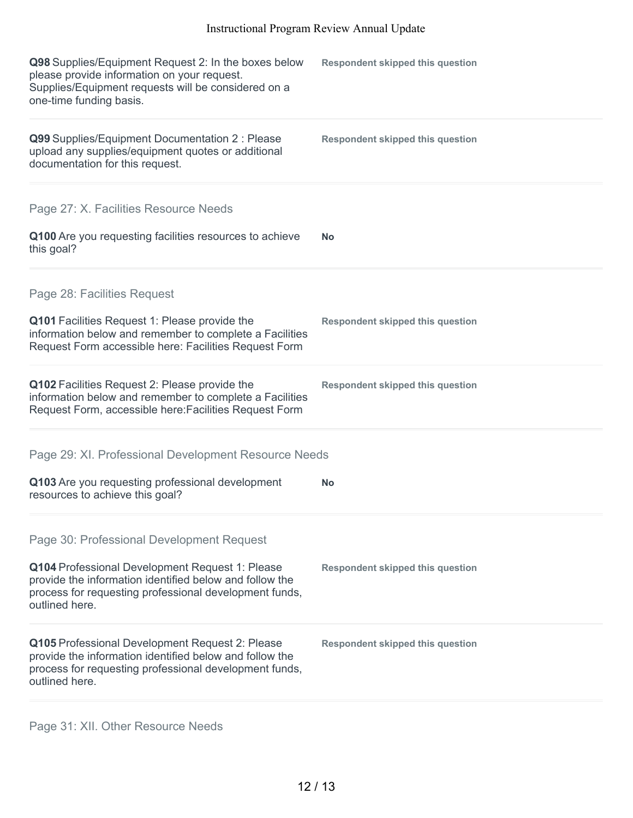| Q98 Supplies/Equipment Request 2: In the boxes below<br>please provide information on your request.<br>Supplies/Equipment requests will be considered on a<br>one-time funding basis.  | <b>Respondent skipped this question</b> |
|----------------------------------------------------------------------------------------------------------------------------------------------------------------------------------------|-----------------------------------------|
| Q99 Supplies/Equipment Documentation 2 : Please<br>upload any supplies/equipment quotes or additional<br>documentation for this request.                                               | <b>Respondent skipped this question</b> |
| Page 27: X. Facilities Resource Needs                                                                                                                                                  |                                         |
| Q100 Are you requesting facilities resources to achieve<br>this goal?                                                                                                                  | No                                      |
| Page 28: Facilities Request                                                                                                                                                            |                                         |
| Q101 Facilities Request 1: Please provide the<br>information below and remember to complete a Facilities<br>Request Form accessible here: Facilities Request Form                      | <b>Respondent skipped this question</b> |
| Q102 Facilities Request 2: Please provide the<br>information below and remember to complete a Facilities<br>Request Form, accessible here: Facilities Request Form                     | <b>Respondent skipped this question</b> |
| Page 29: XI. Professional Development Resource Needs                                                                                                                                   |                                         |
| Q103 Are you requesting professional development<br>resources to achieve this goal?                                                                                                    | No                                      |
| Page 30: Professional Development Request                                                                                                                                              |                                         |
| Q104 Professional Development Request 1: Please<br>provide the information identified below and follow the<br>process for requesting professional development funds,<br>outlined here. | <b>Respondent skipped this question</b> |
| Q105 Professional Development Request 2: Please<br>provide the information identified below and follow the<br>process for requesting professional development funds,<br>outlined here. | <b>Respondent skipped this question</b> |